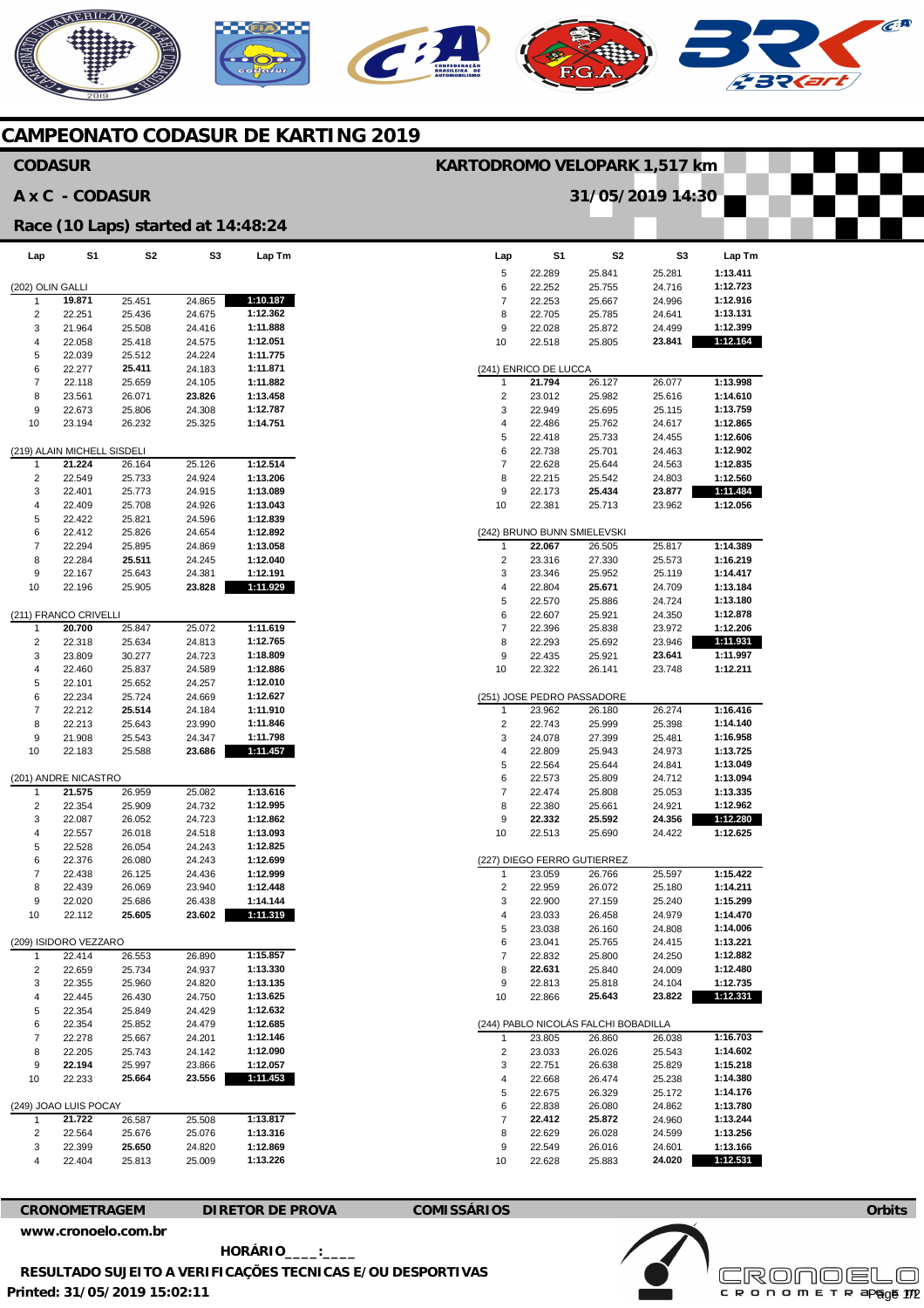# AERICANO

## **CAMPEONATO CODASUR DE KARTING 2019**

### **Lap**  5 6 7 8 9 10 (241) ENRICO DE LUCCA 1 2 3 4 5 6 7 8 9 10 (242) BRUNO BUNN SMIELEVSKI 1  $\mathfrak{2}$ 3 4 5 6 7 8 9 10 (251) JOSE PEDRO PASSADORE 1 2 3 4 5 6 7 8 9 10 (227) DIEGO FERRO GUTIERREZ 1  $\mathfrak{2}$ 3 4 5 6 7 8  $\alpha$ 10 (244) PABLO NICOLÁS FALCHI BOBADILLA 1  $\overline{2}$ 3 4 5 6 7 8 9 10 **S1**  22.289 22.252 22.253 22.705 22.028 22.518 **21.794**  23.012 22.949 22.486 22.418 22.738 22.628 22.215 22.173 22.381 **22.067**  23.316 23.346 22.804 22.570 22.607 22.396 22.293 22.435 22.322 23.962 22.743 24.078 22.809 22.564 22.573 22.474 22.380 **22.332**  22.513 23.059 22.959 22.900 23.033 23.038 23.041 22.832 **22.631**  22.813 22.866 23.805 23.033 22.751 22.668 22.675 22.838 **22.412**  22.629 22.549 22.628 **S2**  25.841 25.755 25.667 25.785 25.872 25.805 26.127 25.982 25.695 25.762 25.733 25.701 25.644 25.542 **25.434**  25.713 26.505 27.330 25.952 **25.671**  25.886 25.921 25.838 25.692 25.921 26.141 26.180 25.999 27.399 25.943 25.644 25.809 25.808 25.661 **25.592**  25.690 26.766 26.072 27.159 26.458 26.160 25.765 25.800 25.840 25.818 **25.643**  26.860 26.026 26.638 26.474 26.329 26.080 **25.872**  26.028 26.016 25.883 **S3**  25.281 24.716 24.996 24.641 24.499 **23.841**  26.077 25.616 25.115 24.617 24.455 24.463 24.563 24.803 **23.877**  23.962 25.817 25.573 25.119 24.709 24.724 24.350 23.972 23.946 **23.641**  23.748 26.274 25.398 25.481 24.973 24.841 24.712 25.053 24.921 **24.356**  24.422 25.597 25.180 25.240 24.979 24.808 24.415 24.250 24.009 24.104 **23.822**  26.038 25.543 25.829 25.238 25.172 24.862 24.960 24.599 24.601 **24.020 Lap Tm 1:13.411 1:12.723 1:12.916 1:13.131 1:12.399 1:12.164 1:13.998 1:14.610 1:13.759 1:12.865 1:12.606 1:12.902 1:12.835 1:12.560 1:11.484 1:12.056 1:14.389 1:16.219 1:14.417 1:13.184 1:13.180 1:12.878 1:12.206 1:11.931 1:11.997 1:12.211 1:16.416 1:14.140 1:16.958 1:13.725 1:13.049 1:13.094 1:13.335 1:12.962 1:12.280 1:12.625 1:15.422 1:14.211 1:15.299 1:14.470 1:14.006 1:13.221 1:12.882 1:12.480 1:12.735 1:12.331 1:16.703 1:14.602 1:15.218 1:14.380 1:14.176 1:13.780 1:13.244 1:13.256 1:13.166 1:12.531 Lap**  (202) OLIN GALLI 1 2 3 4 5 6 7 8 9 10 (219) ALAIN MICHELL SISDELI  $\overline{1}$ 2 3 4 5 6 7 8 9 10 (211) FRANCO CRIVELLI 1 2 3 4 5 6 7 8 9 10 (201) ANDRE NICASTRO 1 2 3 4 5 6 7 8 9 10 (209) ISIDORO VEZZARO 1  $\overline{2}$  $\overline{a}$ 4 5 6 7 8 9 10 (249) JOAO LUIS POCAY 1 2 3 4 **S1 19.871**  22.251 21.964 22.058 22.039 22.277 22.118 23.561 22.673 23.194 **21.224**  22.549 22.401 22.409 22.422 22.412 22.294 22.284 22.167 22.196 **20.700**  22.318 23.809 22.460 22.101 22.234 22.212 22.213 21.908 22.183 **21.575**  22.354 22.087 22.557 22.528 22.376 22.438 22.439 22.020 22.112 22.414 22.659 22.355 22.445 22.354 22.354 22.278 22.205 **22.194**  22.33 **21.722**  22.564 22.399 22.404 **S2**  25.451 25.436 25.508 25.418 25.512 **25.411**  25.659 26.071 25.806 26.232 26.164 25.733 25.773 25.708 25.821 25.826 25.895 **25.511**  25.643 25.905 25.847 25.634 30.277 25.837 25.652 25.724 **25.514**  25.643 25.543 25.588 26.959 25.909 26.052 26.018 26.054 26.080 26.125 26.069 25.686 **25.605**  26.553 25.734 25.960 26.430 25.849 25.852 25.667 25.743 25.997 **25.664**  26.587 25.676 **25.650**  25.813 **S3**  24.865 24.675 24.416 24.575 24.224 24.183 24.105 **23.826**  24.308 25.325 25.126 24.924 24.915 24.926 24.596 24.654 24.869 24.245 24.381 **23.828**  25.072 24.813 24.723 24.589 24.257 24.669 24.184 23.990 24.347 **23.686**  25.082 24.732 24.723 24.518 24.243 24.243 24.436 23.940 26.438 **23.602**  26.890 24.937 24.820 24.750 24.429 24.479 24.201 24.142 23.866 **23.556**  25.508 25.076 24.820 25.009 **Lap Tm 1:10.187 1:12.362 1:11.888 1:12.051 1:11.775 1:11.871 1:11.882 1:13.458 1:12.787 1:14.751 1:12.514 1:13.206 1:13.089 1:13.043 1:12.839 1:12.892 1:13.058 1:12.040 1:12.191 1:11.929 1:11.619 1:12.765 1:18.809 1:12.886 1:12.010 1:12.627 1:11.910 1:11.846 1:11.798 1:11.457 1:13.616 1:12.995 1:12.862 1:13.093 1:12.825 1:12.699 1:12.999 1:12.448 1:14.144 1:11.319 1:15.857 1:13.330 1:13.135 1:13.625 1:12.632 1:12.685 1:12.146 1:12.090 1:12.057 1:11.453 1:13.817 1:13.316 1:12.869 1:13.226 CODASUR A x C - CODASUR Race (10 Laps) started at 14:48:24 KARTODROMO VELOPARK 1,517 km 31/05/2019 14:30**

**CRONOMETRAGEM DIRETOR DE PROVA COMISSÁRIOS** 

**[www.cronoelo.com.br](http://www.cronoelo.com.br)** 

 **HORÁRIO\_\_\_\_:\_\_\_\_ RESULTADO SUJEITO A VERIFICAÇÕES TECNICAS E/OU DESPORTIVAS** 

**Printed: 31/05/2019 15:02:11** 



**Orbits** 

 $\widehat{C}^{\text{A}}$